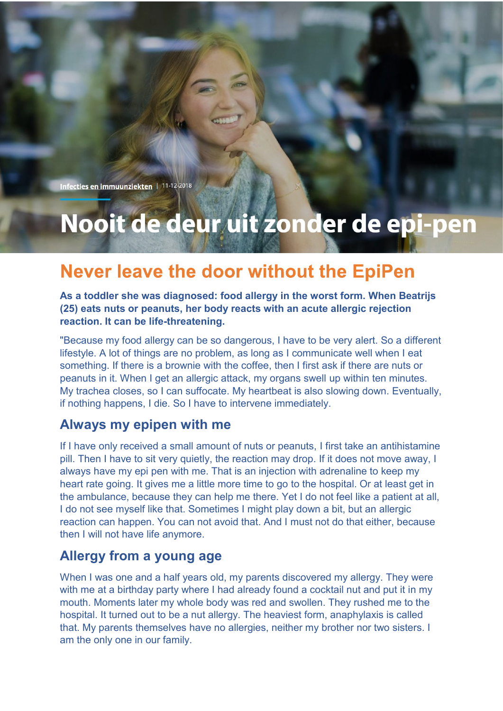Infecties en immuunziekten | 11-12-2018

# Nooit de deur uit zonder de epi-pen

# **Never leave the door without the EpiPen**

**As a toddler she was diagnosed: food allergy in the worst form. When Beatrijs (25) eats nuts or peanuts, her body reacts with an acute allergic rejection reaction. It can be life-threatening.**

"Because my food allergy can be so dangerous, I have to be very alert. So a different lifestyle. A lot of things are no problem, as long as I communicate well when I eat something. If there is a brownie with the coffee, then I first ask if there are nuts or peanuts in it. When I get an allergic attack, my organs swell up within ten minutes. My trachea closes, so I can suffocate. My heartbeat is also slowing down. Eventually, if nothing happens, I die. So I have to intervene immediately.

#### **Always my epipen with me**

If I have only received a small amount of nuts or peanuts, I first take an antihistamine pill. Then I have to sit very quietly, the reaction may drop. If it does not move away, I always have my epi pen with me. That is an injection with adrenaline to keep my heart rate going. It gives me a little more time to go to the hospital. Or at least get in the ambulance, because they can help me there. Yet I do not feel like a patient at all, I do not see myself like that. Sometimes I might play down a bit, but an allergic reaction can happen. You can not avoid that. And I must not do that either, because then I will not have life anymore.

#### **Allergy from a young age**

When I was one and a half years old, my parents discovered my allergy. They were with me at a birthday party where I had already found a cocktail nut and put it in my mouth. Moments later my whole body was red and swollen. They rushed me to the hospital. It turned out to be a nut allergy. The heaviest form, anaphylaxis is called that. My parents themselves have no allergies, neither my brother nor two sisters. I am the only one in our family.